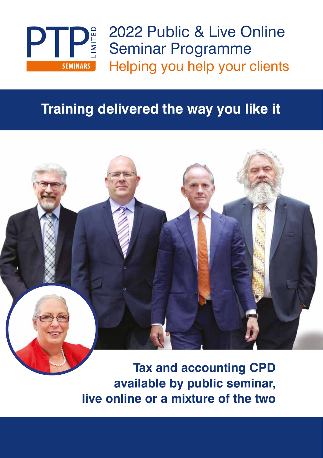

2022 Public & Live Online **PTP**<sup>2022</sup> Public & Live Of Seminar Programme Helping you help your clients

### **Training delivered the way you like it**



**Tax and accounting CPD available by public seminar, live online or a mixture of the two**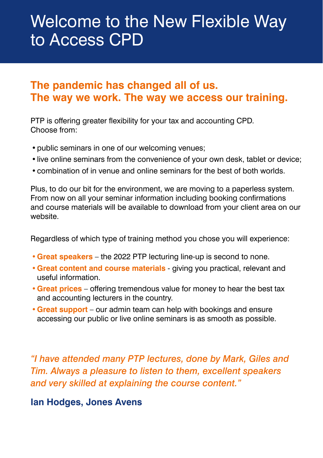## Welcome to the New Flexible Way to Access CPD

### **The pandemic has changed all of us. The way we work. The way we access our training.**

PTP is offering greater flexibility for your tax and accounting CPD. Choose from:

- public seminars in one of our welcoming venues;
- •live online seminars from the convenience of your own desk, tablet or device;
- •combination of in venue and online seminars for the best of both worlds.

Plus, to do our bit for the environment, we are moving to a paperless system. From now on all your seminar information including booking confirmations and course materials will be available to download from your client area on our website.

Regardless of which type of training method you chose you will experience:

- **•Great speakers** the 2022 PTP lecturing line-up is second to none.
- **•Great content and course materials** giving you practical, relevant and useful information.
- **•Great prices** offering tremendous value for money to hear the best tax and accounting lecturers in the country.
- **•Great support** our admin team can help with bookings and ensure accessing our public or live online seminars is as smooth as possible.

*"I have attended many PTP lectures, done by Mark, Giles and Tim. Always a pleasure to listen to them, excellent speakers and very skilled at explaining the course content."*

**Ian Hodges, Jones Avens**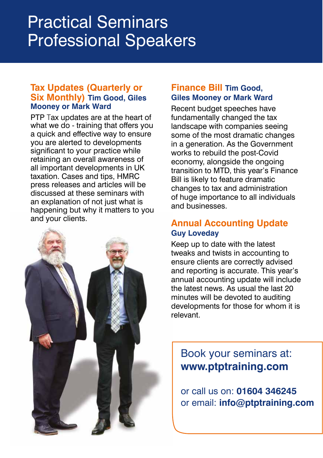# Professional Speakers Practical Seminars

#### **Tax Updates (Quarterly or Six Monthly) Tim Good, Giles Mooney or Mark Ward**

PTP Tax updates are at the heart of what we do - training that offers you a quick and effective way to ensure you are alerted to developments significant to your practice while retaining an overall awareness of all important developments in UK taxation. Cases and tips, HMRC press releases and articles will be discussed at these seminars with an explanation of not just what is happening but why it matters to you and your clients.



#### **Finance Bill Tim Good, Giles Mooney or Mark Ward**

Recent budget speeches have fundamentally changed the tax landscape with companies seeing some of the most dramatic changes in a generation. As the Government works to rebuild the post-Covid economy, alongside the ongoing transition to MTD, this year's Finance Bill is likely to feature dramatic changes to tax and administration of huge importance to all individuals and businesses.

#### **Annual Accounting Update Guy Loveday**

Keep up to date with the latest tweaks and twists in accounting to ensure clients are correctly advised and reporting is accurate. This year's annual accounting update will include the latest news. As usual the last 20 minutes will be devoted to auditing developments for those for whom it is relevant.

Book your seminars at: **[www.ptptraining.com](https://www.ptptraining.com/courses/current-seminars)**

or call us on: **01604 346245** or email: **[info@ptptraining.com](mailto:info@ptptraining.com)**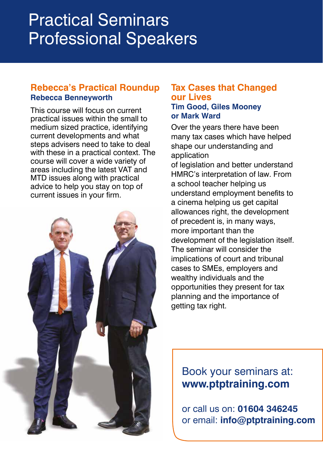# Practical Seminars Professional Speakers

#### **Rebecca's Practical Roundup Rebecca Benneyworth**

This course will focus on current practical issues within the small to medium sized practice, identifying current developments and what steps advisers need to take to deal with these in a practical context. The course will cover a wide variety of areas including the latest VAT and MTD issues along with practical advice to help you stay on top of current issues in your firm.



#### **Tax Cases that Changed our Lives Tim Good, Giles Mooney or Mark Ward**

Over the years there have been many tax cases which have helped shape our understanding and application of legislation and better understand HMRC's interpretation of law. From a school teacher helping us understand employment benefits to a cinema helping us get capital allowances right, the development of precedent is, in many ways, more important than the development of the legislation itself. The seminar will consider the implications of court and tribunal cases to SMEs, employers and wealthy individuals and the opportunities they present for tax planning and the importance of getting tax right.

### Book your seminars at: **[www.ptptraining.com](https://www.ptptraining.com/courses/current-seminars)**

or call us on: **01604 346245** or email: **[info@ptptraining.com](mailto:info@ptptraining.com)**